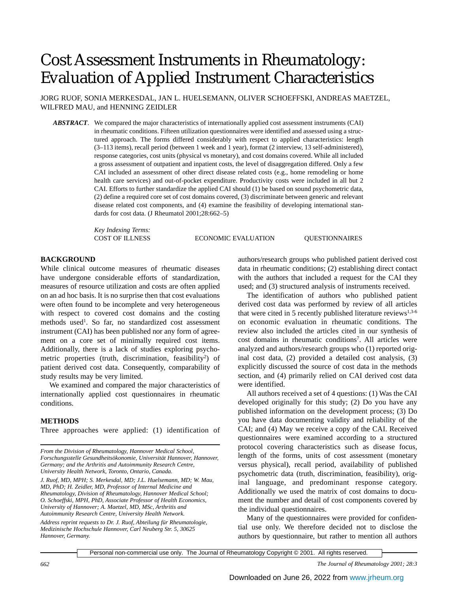# Cost Assessment Instruments in Rheumatology: Evaluation of Applied Instrument Characteristics

JORG RUOF, SONIA MERKESDAL, JAN L. HUELSEMANN, OLIVER SCHOEFFSKI, ANDREAS MAETZEL, WILFRED MAU, and HENNING ZEIDLER

*ABSTRACT*. We compared the major characteristics of internationally applied cost assessment instruments (CAI) in rheumatic conditions. Fifteen utilization questionnaires were identified and assessed using a structured approach. The forms differed considerably with respect to applied characteristics: length (3–113 items), recall period (between 1 week and 1 year), format (2 interview, 13 self-administered), response categories, cost units (physical vs monetary), and cost domains covered. While all included a gross assessment of outpatient and inpatient costs, the level of disaggregation differed. Only a few CAI included an assessment of other direct disease related costs (e.g., home remodeling or home health care services) and out-of-pocket expenditure. Productivity costs were included in all but 2 CAI. Efforts to further standardize the applied CAI should (1) be based on sound psychometric data, (2) define a required core set of cost domains covered, (3) discriminate between generic and relevant disease related cost components, and (4) examine the feasibility of developing international standards for cost data. (J Rheumatol 2001;28:662–5)

*Key Indexing Terms:*

COST OF ILLNESS ECONOMIC EVALUATION QUESTIONNAIRES

## **BACKGROUND**

While clinical outcome measures of rheumatic diseases have undergone considerable efforts of standardization, measures of resource utilization and costs are often applied on an ad hoc basis. It is no surprise then that cost evaluations were often found to be incomplete and very heterogeneous with respect to covered cost domains and the costing methods used<sup>1</sup>. So far, no standardized cost assessment instrument (CAI) has been published nor any form of agreement on a core set of minimally required cost items. Additionally, there is a lack of studies exploring psychometric properties (truth, discrimination, feasibility<sup>2</sup>) of patient derived cost data. Consequently, comparability of study results may be very limited.

We examined and compared the major characteristics of internationally applied cost questionnaires in rheumatic conditions.

#### **METHODS**

Three approaches were applied: (1) identification of

*Address reprint requests to Dr. J. Ruof, Abteilung für Rheumatologie, Medizinische Hochschule Hannover, Carl Neuberg Str. 5, 30625 Hannover, Germany.*

authors/research groups who published patient derived cost data in rheumatic conditions; (2) establishing direct contact with the authors that included a request for the CAI they used; and (3) structured analysis of instruments received.

The identification of authors who published patient derived cost data was performed by review of all articles that were cited in 5 recently published literature reviews $1,3-6$ on economic evaluation in rheumatic conditions. The review also included the articles cited in our synthesis of cost domains in rheumatic conditions<sup>7</sup>. All articles were analyzed and authors/research groups who (1) reported original cost data, (2) provided a detailed cost analysis, (3) explicitly discussed the source of cost data in the methods section, and (4) primarily relied on CAI derived cost data were identified.

All authors received a set of 4 questions: (1) Was the CAI developed originally for this study; (2) Do you have any published information on the development process; (3) Do you have data documenting validity and reliability of the CAI; and (4) May we receive a copy of the CAI. Received questionnaires were examined according to a structured protocol covering characteristics such as disease focus, length of the forms, units of cost assessment (monetary versus physical), recall period, availability of published psychometric data (truth, discrimination, feasibility), original language, and predominant response category. Additionally we used the matrix of cost domains to document the number and detail of cost components covered by the individual questionnaires.

Many of the questionnaires were provided for confidential use only. We therefore decided not to disclose the authors by questionnaire, but rather to mention all authors

Personal non-commercial use only. The Journal of Rheumatology Copyright © 2001. All rights reserved.

*662 The Journal of Rheumatology 2001; 28:3*

*From the Division of Rheumatology, Hannover Medical School, Forschungsstelle Gesundheitsökonomie, Universität Hannover, Hannover, Germany; and the Arthritis and Autoimmunity Research Centre, University Health Network, Toronto, Ontario, Canada.*

*J. Ruof, MD, MPH; S. Merkesdal, MD; J.L. Huelsemann, MD; W. Mau, MD, PhD; H. Zeidler, MD, Professor of Internal Medicine and Rheumatology, Division of Rheumatology, Hannover Medical School; O. Schoeffski, MPH, PhD, Associate Professor of Health Economics, University of Hannover; A. Maetzel, MD, MSc, Arthritis and Autoimmunity Research Centre, University Health Network.*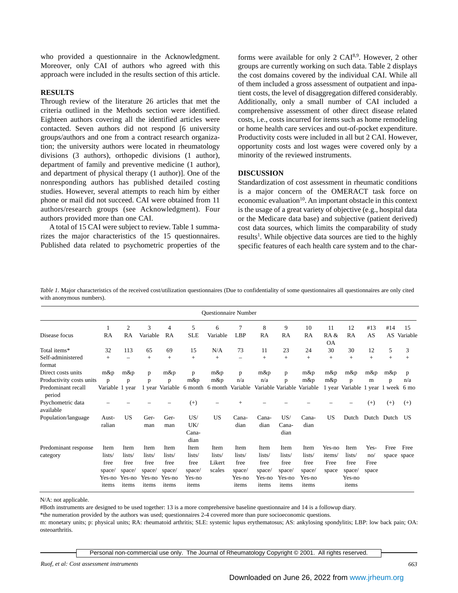who provided a questionnaire in the Acknowledgment. Moreover, only CAI of authors who agreed with this approach were included in the results section of this article.

### **RESULTS**

Through review of the literature 26 articles that met the criteria outlined in the Methods section were identified. Eighteen authors covering all the identified articles were contacted. Seven authors did not respond [6 university groups/authors and one from a contract research organization; the university authors were located in rheumatology divisions (3 authors), orthopedic divisions (1 author), department of family and preventive medicine (1 author), and department of physical therapy (1 author)]. One of the nonresponding authors has published detailed costing studies. However, several attempts to reach him by either phone or mail did not succeed. CAI were obtained from 11 authors/research groups (see Acknowledgment). Four authors provided more than one CAI.

A total of 15 CAI were subject to review. Table 1 summarizes the major characteristics of the 15 questionnaires. Published data related to psychometric properties of the forms were available for only 2 CAI8,9. However, 2 other groups are currently working on such data. Table 2 displays the cost domains covered by the individual CAI. While all of them included a gross assessment of outpatient and inpatient costs, the level of disaggregation differed considerably. Additionally, only a small number of CAI included a comprehensive assessment of other direct disease related costs, i.e., costs incurred for items such as home remodeling or home health care services and out-of-pocket expenditure. Productivity costs were included in all but 2 CAI. However, opportunity costs and lost wages were covered only by a minority of the reviewed instruments.

## **DISCUSSION**

Standardization of cost assessment in rheumatic conditions is a major concern of the OMERACT task force on economic evaluation<sup>10</sup>. An important obstacle in this context is the usage of a great variety of objective (e.g., hospital data or the Medicare data base) and subjective (patient derived) cost data sources, which limits the comparability of study results<sup>1</sup>. While objective data sources are tied to the highly specific features of each health care system and to the char-

*Table 1.* Major characteristics of the received cost/utilization questionnaires (Due to confidentiality of some questionnaires all questionnaires are only cited with anonymous numbers).

| <b>Questionnaire Number</b>                                                    |                                                     |                                                     |                                                     |                                                     |                                                     |                                                           |                                                     |                                                     |                                                     |                                                     |                                   |                                                     |                              |             |                     |
|--------------------------------------------------------------------------------|-----------------------------------------------------|-----------------------------------------------------|-----------------------------------------------------|-----------------------------------------------------|-----------------------------------------------------|-----------------------------------------------------------|-----------------------------------------------------|-----------------------------------------------------|-----------------------------------------------------|-----------------------------------------------------|-----------------------------------|-----------------------------------------------------|------------------------------|-------------|---------------------|
| Disease focus                                                                  | RA                                                  | 2<br>RA                                             | 3<br>Variable                                       | 4<br>RA                                             | 5<br><b>SLE</b>                                     | 6<br>Variable                                             | 7<br><b>LBP</b>                                     | 8<br>RA                                             | 9<br>RA                                             | 10<br>RA                                            | 11<br>RA &<br><b>OA</b>           | 12<br>RA                                            | #13<br>AS                    | #14<br>AS   | 15<br>Variable      |
| Total items*<br>Self-administered<br>format                                    | 32<br>$+$                                           | 113<br>$\overline{\phantom{0}}$                     | 65<br>$+$                                           | 69<br>$+$                                           | 15<br>$^{+}$                                        | N/A<br>$+$                                                | 73<br>$\overline{\phantom{0}}$                      | 11<br>$+$                                           | 23<br>$+$                                           | 24<br>$+$                                           | 30<br>$+$                         | 30<br>$+$                                           | 12<br>$+$                    | 5<br>$+$    | 3<br>$+$            |
| Direct costs units<br>Productivity costs units<br>Predominant recall<br>period | $m\&p$<br>$\mathbf{p}$<br>Variable 1 year           | $m\&p$<br>p                                         | p<br>p                                              | m&p<br>p                                            | p<br>$m\&p$                                         | m&p<br>$m$ &p<br>1 year Variable 6 month 6 month Variable | p<br>n/a                                            | $m\&p$<br>n/a                                       | p<br>p                                              | m&p<br>m&p<br>Variable Variable Variable            | m&p<br>$m\&p$                     | m&p<br>p<br>1 year Variable 1 year 1 week 6 mo      | m&p<br>m                     | m&p<br>p    | p<br>n/a            |
| Psychometric data<br>available                                                 |                                                     |                                                     |                                                     |                                                     | $(+)$                                               |                                                           | $+$                                                 |                                                     |                                                     |                                                     |                                   |                                                     | $^{(+)}$                     | $(+)$       | $^{(+)}$            |
| Population/language                                                            | Aust-<br>ralian                                     | <b>US</b>                                           | Ger-<br>man                                         | Ger-<br>man                                         | US/<br>UK/<br>Cana-<br>dian                         | US                                                        | Cana-<br>dian                                       | Cana-<br>dian                                       | US/<br>Cana-<br>dian                                | Cana-<br>dian                                       | <b>US</b>                         | Dutch                                               |                              | Dutch Dutch | US                  |
| Predominant response<br>category                                               | Item<br>lists/<br>free<br>space/<br>Yes-no<br>items | Item<br>lists/<br>free<br>space/<br>Yes-no<br>items | Item<br>lists/<br>free<br>space/<br>Yes-no<br>items | Item<br>lists/<br>free<br>space/<br>Yes-no<br>items | Item<br>lists/<br>free<br>space/<br>Yes-no<br>items | Item<br>lists/<br>Likert<br>scales                        | Item<br>lists/<br>free<br>space/<br>Yes-no<br>items | Item<br>lists/<br>free<br>space/<br>Yes-no<br>items | Item<br>lists/<br>free<br>space/<br>Yes-no<br>items | Item<br>lists/<br>free<br>space/<br>Yes-no<br>items | Yes-no<br>items/<br>Free<br>space | Item<br>lists/<br>free<br>space/<br>Yes-no<br>items | Yes-<br>no/<br>Free<br>space | Free        | Free<br>space space |

N/A: not applicable.

#Both instruments are designed to be used together: 13 is a more comprehensive baseline questionnaire and 14 is a followup diary.

\*the numeration provided by the authors was used; questionnaires 2-4 covered more than pure socioeconomic questions.

m: monetary units; p: physical units; RA: rheumatoid arthritis; SLE: systemic lupus erythematosus; AS: ankylosing spondylitis; LBP: low back pain; OA: osteoarthritis.

Personal non-commercial use only. The Journal of Rheumatology Copyright © 2001. All rights reserved.

*Ruof, et al: Cost assessment instruments 663*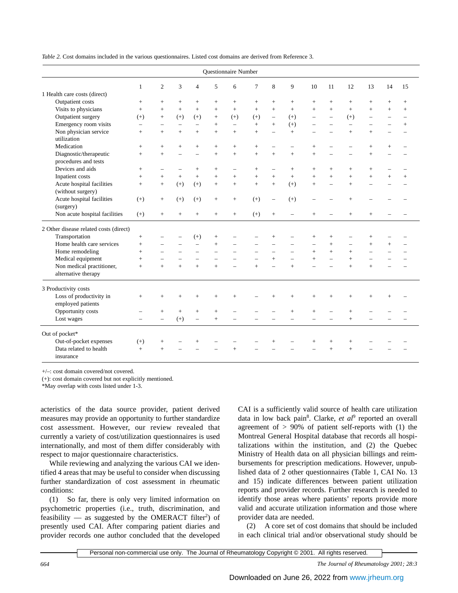| <i>Table 2.</i> Cost domains included in the various questionnaires. Listed cost domains are derived from Reference 3. |  |  |  |
|------------------------------------------------------------------------------------------------------------------------|--|--|--|
|------------------------------------------------------------------------------------------------------------------------|--|--|--|

| Questionnaire Number                             |                          |                          |           |                          |                          |                          |                          |                          |                          |                          |                          |                |                          |           |                          |
|--------------------------------------------------|--------------------------|--------------------------|-----------|--------------------------|--------------------------|--------------------------|--------------------------|--------------------------|--------------------------|--------------------------|--------------------------|----------------|--------------------------|-----------|--------------------------|
|                                                  | 1                        | $\overline{c}$           | 3         | $\overline{4}$           | 5                        | 6                        | 7                        | 8                        | 9                        | 10                       | 11                       | 12             | 13                       | 14        | 15                       |
| 1 Health care costs (direct)                     |                          |                          |           |                          |                          |                          |                          |                          |                          |                          |                          |                |                          |           |                          |
| Outpatient costs                                 | $+$                      | $^{+}$                   | $+$       | $+$                      | $+$                      | $\! +$                   | $+$                      | $^{+}$                   | $+$                      | $^{+}$                   | $+$                      | $+$            | $+$                      | $\ddot{}$ | $\! +$                   |
| Visits to physicians                             | $+$                      | $+$                      | $+$       | $+$                      | $+$                      | $+$                      | $+$                      | $+$                      | $+$                      | $\ddot{}$                | $+$                      | $+$            | $+$                      | $+$       | $+$                      |
| Outpatient surgery                               | $(+)$                    | $+$                      | $(+)$     | $(+)$                    | $+$                      | $(+)$                    | $(+)$                    | $\overline{\phantom{0}}$ | $(+)$                    | $\overline{\phantom{0}}$ | $\overline{a}$           | $(+)$          | $\overline{a}$           |           | $\overline{\phantom{0}}$ |
| Emergency room visits                            | $\overline{\phantom{0}}$ | $\overline{\phantom{0}}$ |           | $\overline{a}$           | $+$                      | $\overline{\phantom{0}}$ | $+$                      | $+$                      | $(+)$                    |                          |                          | $\overline{a}$ |                          |           | $+$                      |
| Non physician service<br>utilization             | $+$                      | $+$                      | $+$       | $+$                      | $+$                      | $+$                      | $+$                      | $\overline{\phantom{0}}$ | $+$                      |                          |                          | $+$            | $+$                      |           |                          |
| Medication                                       | $+$                      | $+$                      | $+$       | $+$                      | $+$                      | $+$                      | $+$                      | $\overline{\phantom{0}}$ |                          | $\ddot{}$                |                          |                | $+$                      | $\ddot{}$ |                          |
| Diagnostic/therapeutic<br>procedures and tests   | $+$                      | $+$                      |           | $\overline{\phantom{0}}$ | $\ddot{}$                | $+$                      | $+$                      | $+$                      | $+$                      | $+$                      |                          |                | $+$                      |           |                          |
| Devices and aids                                 | $+$                      | $\overline{\phantom{0}}$ |           | $^{+}$                   | $+$                      | $\overline{\phantom{0}}$ | $+$                      | $\qquad \qquad -$        | $+$                      | $+$                      | $+$                      | $+$            | $+$                      |           |                          |
| Inpatient costs                                  | $+$                      | $+$                      | $+$       | $+$                      | $+$                      | $+$                      | $+$                      | $+$                      | $+$                      | $+$                      | $+$                      | $+$            | $+$                      | $\ddot{}$ | $^{+}$                   |
| Acute hospital facilities<br>(without surgery)   | $+$                      | $+$                      | $(+)$     | $(+)$                    | $+$                      | $+$                      | $+$                      | $+$                      | $(+)$                    | $\ddot{}$                | $\overline{\phantom{0}}$ | $+$            |                          |           |                          |
| Acute hospital facilities<br>(surgery)           | $(+)$                    | $+$                      | $(+)$     | $(+)$                    | $^{+}$                   | $^{+}$                   | $(+)$                    | $\qquad \qquad -$        | $(+)$                    |                          |                          | $^{+}$         |                          |           |                          |
| Non acute hospital facilities                    | $(+)$                    | $+$                      | $\ddot{}$ | $+$                      | $\ddot{}$                | $+$                      | $(+)$                    | $+$                      |                          | $\ddot{}$                |                          | $+$            | $+$                      |           |                          |
| 2 Other disease related costs (direct)           |                          |                          |           |                          |                          |                          |                          |                          |                          |                          |                          |                |                          |           |                          |
| Transportation                                   | $+$                      |                          |           | $(+)$                    | $^{+}$                   |                          |                          | $^{+}$                   |                          | $+$                      | $+$                      |                | $^{+}$                   |           |                          |
| Home health care services                        | $+$                      |                          |           |                          | $+$                      |                          |                          |                          |                          | $\overline{\phantom{0}}$ | $\ddot{}$                |                | $+$                      | $\ddot{}$ |                          |
| Home remodeling                                  | $+$                      | $\overline{\phantom{0}}$ |           | $\overline{\phantom{0}}$ | $\overline{\phantom{0}}$ |                          | $\overline{\phantom{0}}$ | $\overline{\phantom{0}}$ | $\overline{\phantom{0}}$ | $^{+}$                   | $+$                      | $+$            | $\overline{\phantom{0}}$ |           |                          |
| Medical equipment                                | $+$                      | $\qquad \qquad -$        |           |                          |                          |                          | $\overline{\phantom{0}}$ | $+$                      | $\overline{\phantom{0}}$ | $+$                      | $\overline{\phantom{0}}$ | $+$            |                          |           |                          |
| Non medical practitioner,<br>alternative therapy | $\ddot{}$                | $+$                      | $+$       | $+$                      | $+$                      |                          | $+$                      |                          | $\ddot{}$                |                          |                          | $+$            | $+$                      |           |                          |
| 3 Productivity costs                             |                          |                          |           |                          |                          |                          |                          |                          |                          |                          |                          |                |                          |           |                          |
| Loss of productivity in<br>employed patients     | $+$                      | $+$                      | $+$       | $+$                      | $\ddot{}$                | $+$                      |                          | $^{+}$                   | $+$                      | $^{+}$                   | $+$                      | $+$            | $+$                      |           |                          |
| Opportunity costs                                |                          | $+$                      | $^{+}$    | $+$                      | $+$                      |                          |                          |                          | $+$                      | $^{+}$                   |                          | $+$            |                          |           |                          |
| Lost wages                                       |                          | $\overline{\phantom{0}}$ | $(+)$     | $\overline{\phantom{0}}$ | $+$                      |                          |                          |                          |                          |                          |                          | $+$            |                          |           |                          |
| Out of pocket*                                   |                          |                          |           |                          |                          |                          |                          |                          |                          |                          |                          |                |                          |           |                          |
| Out-of-pocket expenses                           | $(+)$                    | $^{+}$                   |           | $\ddot{}$                |                          |                          |                          | $^{+}$                   |                          | $^{+}$                   | $^{+}$                   | $^{+}$         |                          |           |                          |
| Data related to health<br>insurance              | $+$                      | $\ddot{}$                |           |                          |                          |                          |                          |                          |                          |                          | $\ddot{}$                | $+$            |                          |           |                          |

+/–: cost domain covered/not covered.

(+): cost domain covered but not explicitly mentioned.

\*May overlap with costs listed under 1-3.

acteristics of the data source provider, patient derived measures may provide an opportunity to further standardize cost assessment. However, our review revealed that currently a variety of cost/utilization questionnaires is used internationally, and most of them differ considerably with respect to major questionnaire characteristics.

While reviewing and analyzing the various CAI we identified 4 areas that may be useful to consider when discussing further standardization of cost assessment in rheumatic conditions:

(1) So far, there is only very limited information on psychometric properties (i.e., truth, discrimination, and feasibility  $-$  as suggested by the OMERACT filter<sup>2</sup>) of presently used CAI. After comparing patient diaries and provider records one author concluded that the developed CAI is a sufficiently valid source of health care utilization data in low back pain<sup>8</sup>. Clarke, et al<sup>9</sup> reported an overall agreement of  $> 90\%$  of patient self-reports with (1) the Montreal General Hospital database that records all hospitalizations within the institution, and (2) the Quebec Ministry of Health data on all physician billings and reimbursements for prescription medications. However, unpublished data of 2 other questionnaires (Table 1, CAI No. 13 and 15) indicate differences between patient utilization reports and provider records. Further research is needed to identify those areas where patients' reports provide more valid and accurate utilization information and those where provider data are needed.

(2) A core set of cost domains that should be included in each clinical trial and/or observational study should be

Personal non-commercial use only. The Journal of Rheumatology Copyright © 2001. All rights reserved.